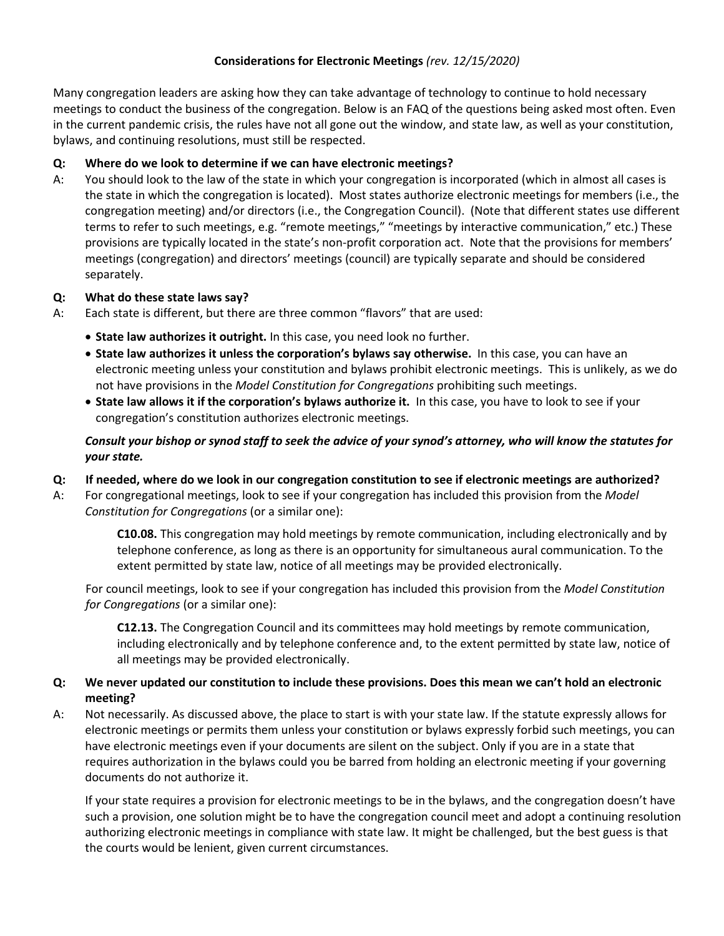## **Considerations for Electronic Meetings** *(rev. 12/15/2020)*

Many congregation leaders are asking how they can take advantage of technology to continue to hold necessary meetings to conduct the business of the congregation. Below is an FAQ of the questions being asked most often. Even in the current pandemic crisis, the rules have not all gone out the window, and state law, as well as your constitution, bylaws, and continuing resolutions, must still be respected.

## **Q: Where do we look to determine if we can have electronic meetings?**

A: You should look to the law of the state in which your congregation is incorporated (which in almost all cases is the state in which the congregation is located). Most states authorize electronic meetings for members (i.e., the congregation meeting) and/or directors (i.e., the Congregation Council). (Note that different states use different terms to refer to such meetings, e.g. "remote meetings," "meetings by interactive communication," etc.) These provisions are typically located in the state's non-profit corporation act. Note that the provisions for members' meetings (congregation) and directors' meetings (council) are typically separate and should be considered separately.

#### **Q: What do these state laws say?**

- A: Each state is different, but there are three common "flavors" that are used:
	- **State law authorizes it outright.** In this case, you need look no further.
	- **State law authorizes it unless the corporation's bylaws say otherwise.** In this case, you can have an electronic meeting unless your constitution and bylaws prohibit electronic meetings. This is unlikely, as we do not have provisions in the *Model Constitution for Congregations* prohibiting such meetings.
	- **State law allows it if the corporation's bylaws authorize it.** In this case, you have to look to see if your congregation's constitution authorizes electronic meetings.

# *Consult your bishop or synod staff to seek the advice of your synod's attorney, who will know the statutes for your state.*

- **Q: If needed, where do we look in our congregation constitution to see if electronic meetings are authorized?**
- A: For congregational meetings, look to see if your congregation has included this provision from the *Model Constitution for Congregations* (or a similar one):

**C10.08.** This congregation may hold meetings by remote communication, including electronically and by telephone conference, as long as there is an opportunity for simultaneous aural communication. To the extent permitted by state law, notice of all meetings may be provided electronically.

For council meetings, look to see if your congregation has included this provision from the *Model Constitution for Congregations* (or a similar one):

**C12.13.** The Congregation Council and its committees may hold meetings by remote communication, including electronically and by telephone conference and, to the extent permitted by state law, notice of all meetings may be provided electronically.

### **Q: We never updated our constitution to include these provisions. Does this mean we can't hold an electronic meeting?**

A: Not necessarily. As discussed above, the place to start is with your state law. If the statute expressly allows for electronic meetings or permits them unless your constitution or bylaws expressly forbid such meetings, you can have electronic meetings even if your documents are silent on the subject. Only if you are in a state that requires authorization in the bylaws could you be barred from holding an electronic meeting if your governing documents do not authorize it.

If your state requires a provision for electronic meetings to be in the bylaws, and the congregation doesn't have such a provision, one solution might be to have the congregation council meet and adopt a continuing resolution authorizing electronic meetings in compliance with state law. It might be challenged, but the best guess is that the courts would be lenient, given current circumstances.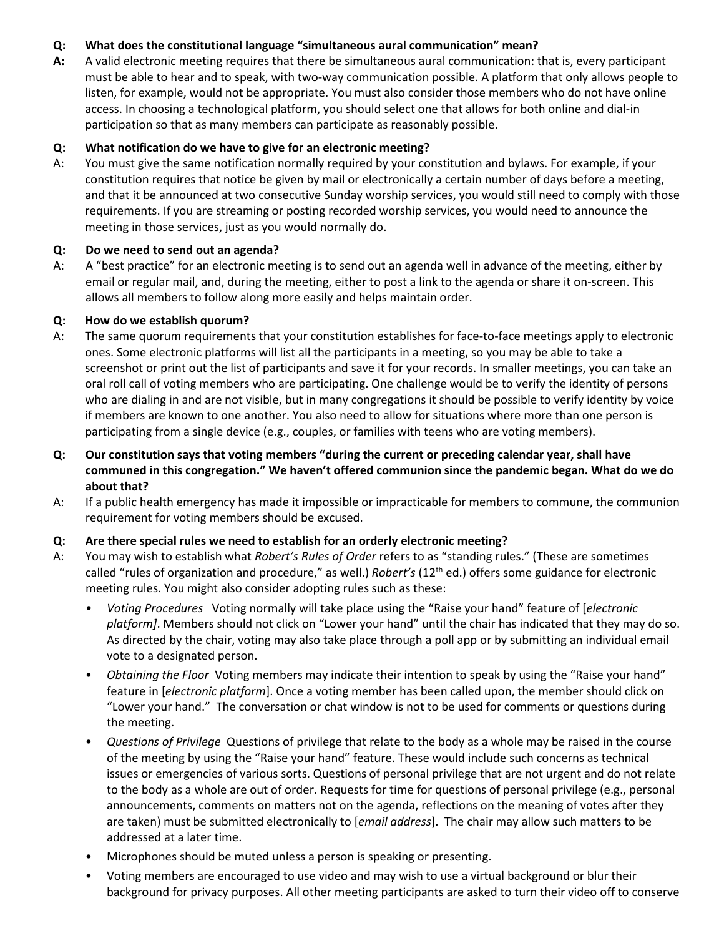# **Q: What does the constitutional language "simultaneous aural communication" mean?**

**A:** A valid electronic meeting requires that there be simultaneous aural communication: that is, every participant must be able to hear and to speak, with two-way communication possible. A platform that only allows people to listen, for example, would not be appropriate. You must also consider those members who do not have online access. In choosing a technological platform, you should select one that allows for both online and dial-in participation so that as many members can participate as reasonably possible.

### **Q: What notification do we have to give for an electronic meeting?**

A: You must give the same notification normally required by your constitution and bylaws. For example, if your constitution requires that notice be given by mail or electronically a certain number of days before a meeting, and that it be announced at two consecutive Sunday worship services, you would still need to comply with those requirements. If you are streaming or posting recorded worship services, you would need to announce the meeting in those services, just as you would normally do.

#### **Q: Do we need to send out an agenda?**

A: A "best practice" for an electronic meeting is to send out an agenda well in advance of the meeting, either by email or regular mail, and, during the meeting, either to post a link to the agenda or share it on-screen. This allows all members to follow along more easily and helps maintain order.

### **Q: How do we establish quorum?**

- A: The same quorum requirements that your constitution establishes for face-to-face meetings apply to electronic ones. Some electronic platforms will list all the participants in a meeting, so you may be able to take a screenshot or print out the list of participants and save it for your records. In smaller meetings, you can take an oral roll call of voting members who are participating. One challenge would be to verify the identity of persons who are dialing in and are not visible, but in many congregations it should be possible to verify identity by voice if members are known to one another. You also need to allow for situations where more than one person is participating from a single device (e.g., couples, or families with teens who are voting members).
- **Q: Our constitution says that voting members "during the current or preceding calendar year, shall have communed in this congregation." We haven't offered communion since the pandemic began. What do we do about that?**
- A: If a public health emergency has made it impossible or impracticable for members to commune, the communion requirement for voting members should be excused.

# **Q: Are there special rules we need to establish for an orderly electronic meeting?**

- A: You may wish to establish what *Robert's Rules of Order* refers to as "standing rules." (These are sometimes called "rules of organization and procedure," as well.) *Robert's* (12th ed.) offers some guidance for electronic meeting rules. You might also consider adopting rules such as these:
	- *Voting Procedures* Voting normally will take place using the "Raise your hand" feature of [*electronic platform]*. Members should not click on "Lower your hand" until the chair has indicated that they may do so. As directed by the chair, voting may also take place through a poll app or by submitting an individual email vote to a designated person.
	- *Obtaining the Floor* Voting members may indicate their intention to speak by using the "Raise your hand" feature in [*electronic platform*]. Once a voting member has been called upon, the member should click on "Lower your hand." The conversation or chat window is not to be used for comments or questions during the meeting.
	- *Questions of Privilege* Questions of privilege that relate to the body as a whole may be raised in the course of the meeting by using the "Raise your hand" feature. These would include such concerns as technical issues or emergencies of various sorts. Questions of personal privilege that are not urgent and do not relate to the body as a whole are out of order. Requests for time for questions of personal privilege (e.g., personal announcements, comments on matters not on the agenda, reflections on the meaning of votes after they are taken) must be submitted electronically to [*email address*]. The chair may allow such matters to be addressed at a later time.
	- Microphones should be muted unless a person is speaking or presenting.
	- Voting members are encouraged to use video and may wish to use a virtual background or blur their background for privacy purposes. All other meeting participants are asked to turn their video off to conserve